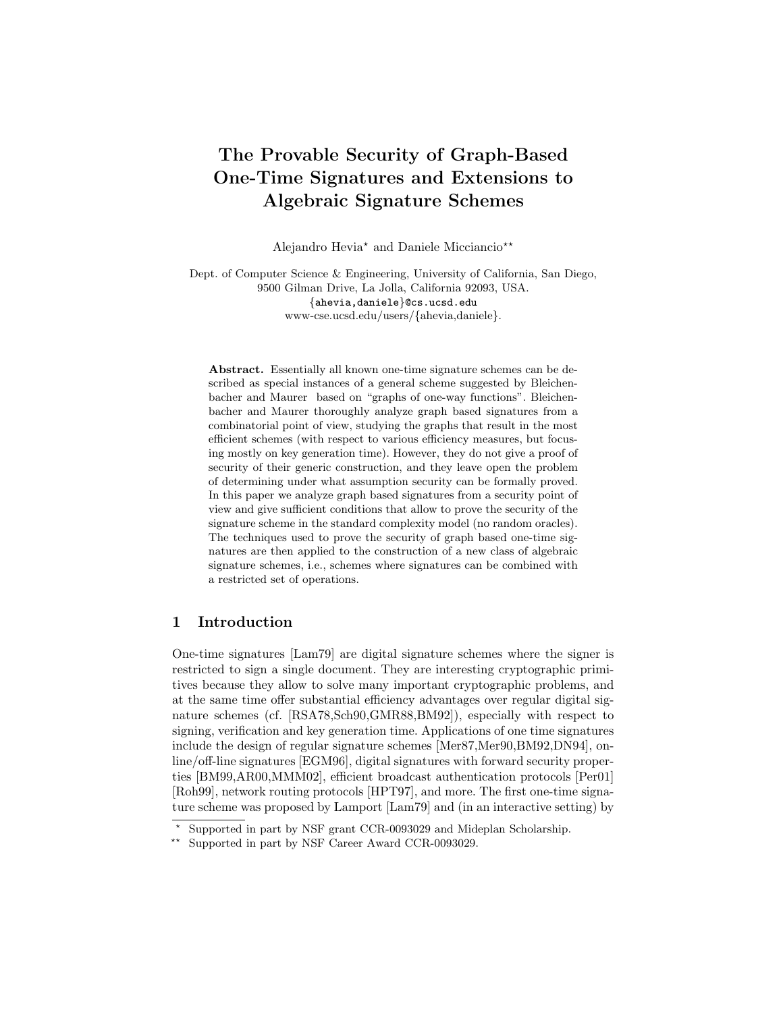# The Provable Security of Graph-Based One-Time Signatures and Extensions to Algebraic Signature Schemes

Alejandro Hevia<sup>\*</sup> and Daniele Micciancio<sup>\*\*</sup>

Dept. of Computer Science & Engineering, University of California, San Diego, 9500 Gilman Drive, La Jolla, California 92093, USA. {ahevia,daniele}@cs.ucsd.edu www-cse.ucsd.edu/users/{ahevia,daniele}.

Abstract. Essentially all known one-time signature schemes can be described as special instances of a general scheme suggested by Bleichenbacher and Maurer based on "graphs of one-way functions". Bleichenbacher and Maurer thoroughly analyze graph based signatures from a combinatorial point of view, studying the graphs that result in the most efficient schemes (with respect to various efficiency measures, but focusing mostly on key generation time). However, they do not give a proof of security of their generic construction, and they leave open the problem of determining under what assumption security can be formally proved. In this paper we analyze graph based signatures from a security point of view and give sufficient conditions that allow to prove the security of the signature scheme in the standard complexity model (no random oracles). The techniques used to prove the security of graph based one-time signatures are then applied to the construction of a new class of algebraic signature schemes, i.e., schemes where signatures can be combined with a restricted set of operations.

## 1 Introduction

One-time signatures [Lam79] are digital signature schemes where the signer is restricted to sign a single document. They are interesting cryptographic primitives because they allow to solve many important cryptographic problems, and at the same time offer substantial efficiency advantages over regular digital signature schemes (cf. [RSA78,Sch90,GMR88,BM92]), especially with respect to signing, verification and key generation time. Applications of one time signatures include the design of regular signature schemes [Mer87,Mer90,BM92,DN94], online/off-line signatures [EGM96], digital signatures with forward security properties [BM99,AR00,MMM02], efficient broadcast authentication protocols [Per01] [Roh99], network routing protocols [HPT97], and more. The first one-time signature scheme was proposed by Lamport [Lam79] and (in an interactive setting) by

<sup>?</sup> Supported in part by NSF grant CCR-0093029 and Mideplan Scholarship.

<sup>\*\*</sup> Supported in part by NSF Career Award CCR-0093029.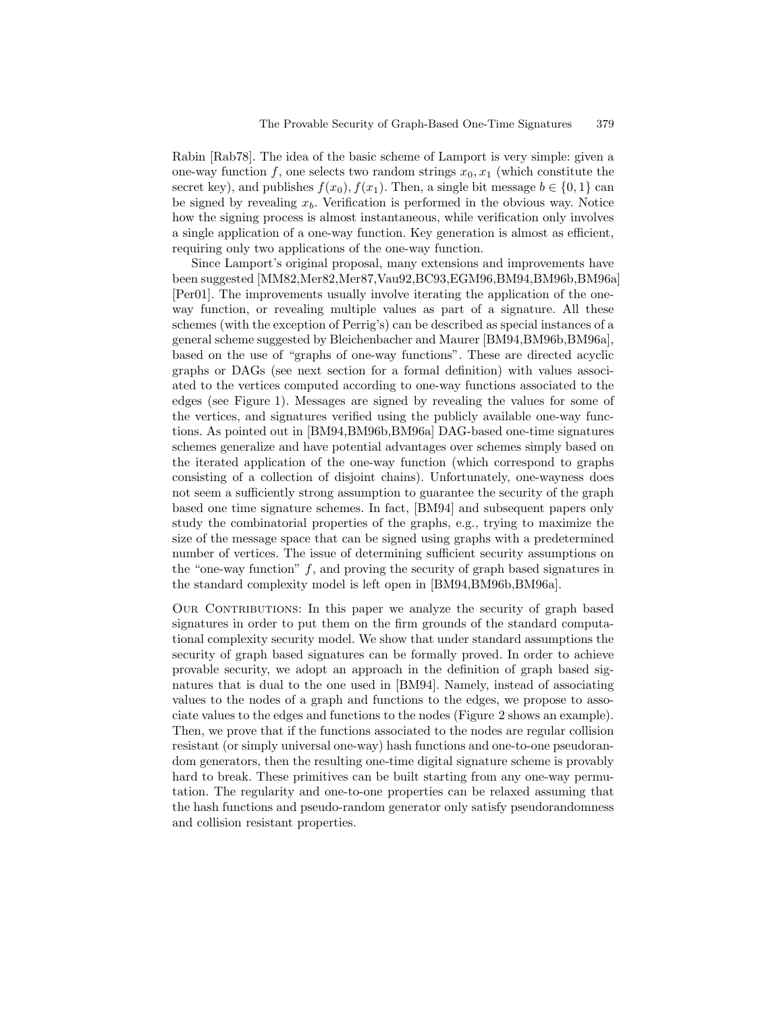Rabin [Rab78]. The idea of the basic scheme of Lamport is very simple: given a one-way function f, one selects two random strings  $x_0, x_1$  (which constitute the secret key), and publishes  $f(x_0), f(x_1)$ . Then, a single bit message  $b \in \{0, 1\}$  can be signed by revealing  $x_b$ . Verification is performed in the obvious way. Notice how the signing process is almost instantaneous, while verification only involves a single application of a one-way function. Key generation is almost as efficient, requiring only two applications of the one-way function.

Since Lamport's original proposal, many extensions and improvements have been suggested [MM82,Mer82,Mer87,Vau92,BC93,EGM96,BM94,BM96b,BM96a] [Per01]. The improvements usually involve iterating the application of the oneway function, or revealing multiple values as part of a signature. All these schemes (with the exception of Perrig's) can be described as special instances of a general scheme suggested by Bleichenbacher and Maurer [BM94,BM96b,BM96a], based on the use of "graphs of one-way functions". These are directed acyclic graphs or DAGs (see next section for a formal definition) with values associated to the vertices computed according to one-way functions associated to the edges (see Figure 1). Messages are signed by revealing the values for some of the vertices, and signatures verified using the publicly available one-way functions. As pointed out in [BM94,BM96b,BM96a] DAG-based one-time signatures schemes generalize and have potential advantages over schemes simply based on the iterated application of the one-way function (which correspond to graphs consisting of a collection of disjoint chains). Unfortunately, one-wayness does not seem a sufficiently strong assumption to guarantee the security of the graph based one time signature schemes. In fact, [BM94] and subsequent papers only study the combinatorial properties of the graphs, e.g., trying to maximize the size of the message space that can be signed using graphs with a predetermined number of vertices. The issue of determining sufficient security assumptions on the "one-way function"  $f$ , and proving the security of graph based signatures in the standard complexity model is left open in [BM94,BM96b,BM96a].

OUR CONTRIBUTIONS: In this paper we analyze the security of graph based signatures in order to put them on the firm grounds of the standard computational complexity security model. We show that under standard assumptions the security of graph based signatures can be formally proved. In order to achieve provable security, we adopt an approach in the definition of graph based signatures that is dual to the one used in [BM94]. Namely, instead of associating values to the nodes of a graph and functions to the edges, we propose to associate values to the edges and functions to the nodes (Figure 2 shows an example). Then, we prove that if the functions associated to the nodes are regular collision resistant (or simply universal one-way) hash functions and one-to-one pseudorandom generators, then the resulting one-time digital signature scheme is provably hard to break. These primitives can be built starting from any one-way permutation. The regularity and one-to-one properties can be relaxed assuming that the hash functions and pseudo-random generator only satisfy pseudorandomness and collision resistant properties.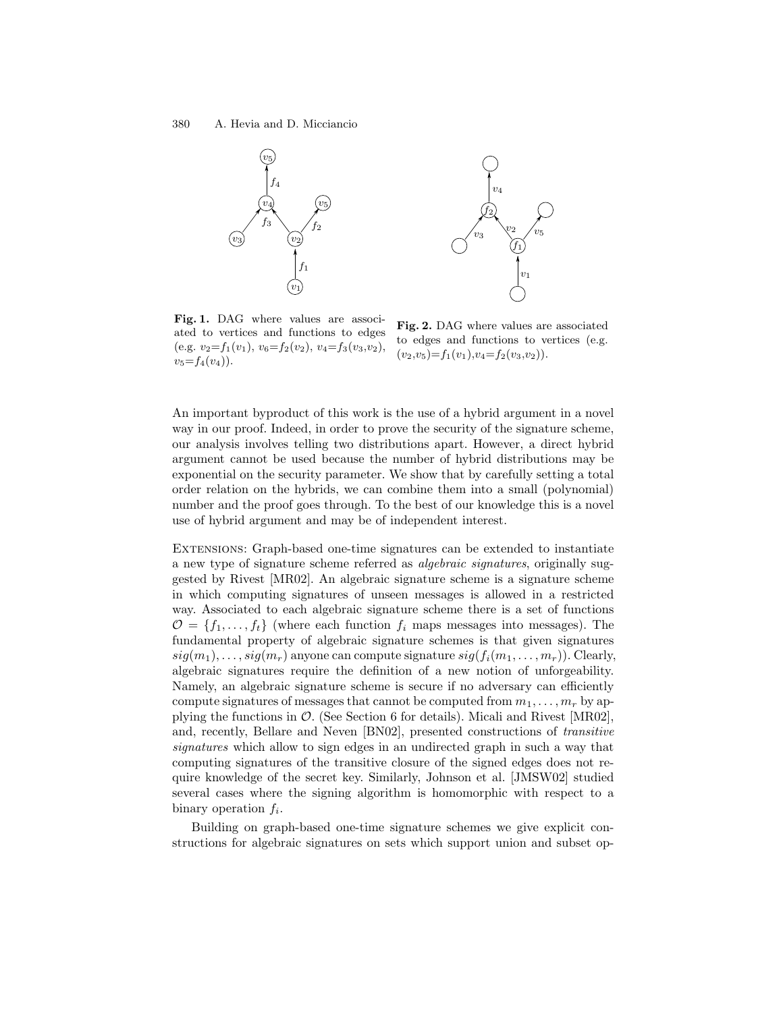

Fig. 1. DAG where values are associated to vertices and functions to edges (e.g.  $v_2=f_1(v_1), v_6=f_2(v_2), v_4=f_3(v_3,v_2),$  $v_5 = f_4(v_4)$ .

Fig. 2. DAG where values are associated to edges and functions to vertices (e.g.  $(v_2,v_5)=f_1(v_1),v_4=f_2(v_3,v_2).$ 

An important byproduct of this work is the use of a hybrid argument in a novel way in our proof. Indeed, in order to prove the security of the signature scheme, our analysis involves telling two distributions apart. However, a direct hybrid argument cannot be used because the number of hybrid distributions may be exponential on the security parameter. We show that by carefully setting a total order relation on the hybrids, we can combine them into a small (polynomial) number and the proof goes through. To the best of our knowledge this is a novel use of hybrid argument and may be of independent interest.

Extensions: Graph-based one-time signatures can be extended to instantiate a new type of signature scheme referred as algebraic signatures, originally suggested by Rivest [MR02]. An algebraic signature scheme is a signature scheme in which computing signatures of unseen messages is allowed in a restricted way. Associated to each algebraic signature scheme there is a set of functions  $\mathcal{O} = \{f_1, \ldots, f_t\}$  (where each function  $f_i$  maps messages into messages). The fundamental property of algebraic signature schemes is that given signatures  $sig(m_1), \ldots, sig(m_r)$  anyone can compute signature  $sig(f_i(m_1, \ldots, m_r))$ . Clearly, algebraic signatures require the definition of a new notion of unforgeability. Namely, an algebraic signature scheme is secure if no adversary can efficiently compute signatures of messages that cannot be computed from  $m_1, \ldots, m_r$  by applying the functions in  $\mathcal{O}$ . (See Section 6 for details). Micali and Rivest [MR02], and, recently, Bellare and Neven [BN02], presented constructions of transitive signatures which allow to sign edges in an undirected graph in such a way that computing signatures of the transitive closure of the signed edges does not require knowledge of the secret key. Similarly, Johnson et al. [JMSW02] studied several cases where the signing algorithm is homomorphic with respect to a binary operation  $f_i$ .

Building on graph-based one-time signature schemes we give explicit constructions for algebraic signatures on sets which support union and subset op-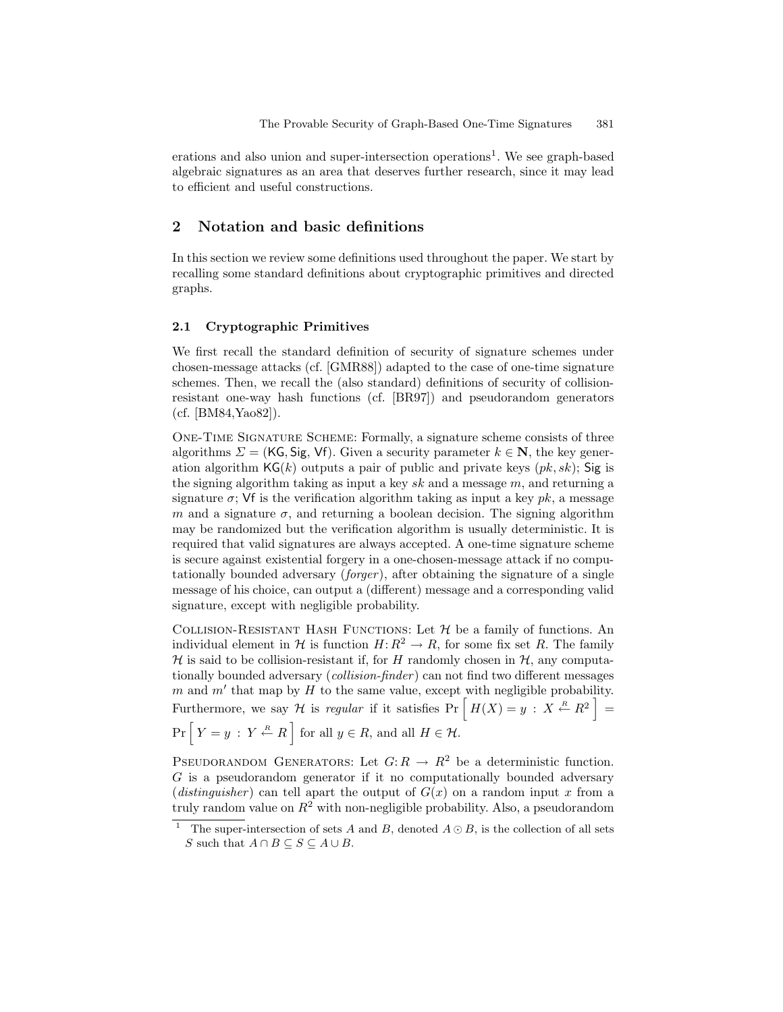erations and also union and super-intersection operations<sup>1</sup>. We see graph-based algebraic signatures as an area that deserves further research, since it may lead to efficient and useful constructions.

# 2 Notation and basic definitions

In this section we review some definitions used throughout the paper. We start by recalling some standard definitions about cryptographic primitives and directed graphs.

#### 2.1 Cryptographic Primitives

We first recall the standard definition of security of signature schemes under chosen-message attacks (cf. [GMR88]) adapted to the case of one-time signature schemes. Then, we recall the (also standard) definitions of security of collisionresistant one-way hash functions (cf. [BR97]) and pseudorandom generators (cf. [BM84,Yao82]).

One-Time Signature Scheme: Formally, a signature scheme consists of three algorithms  $\Sigma = (KG, Sig, Vf)$ . Given a security parameter  $k \in \mathbb{N}$ , the key generation algorithm  $\mathsf{KG}(k)$  outputs a pair of public and private keys  $(pk, sk)$ ; Sig is the signing algorithm taking as input a key  $sk$  and a message  $m$ , and returning a signature  $\sigma$ ; Vf is the verification algorithm taking as input a key pk, a message m and a signature  $\sigma$ , and returning a boolean decision. The signing algorithm may be randomized but the verification algorithm is usually deterministic. It is required that valid signatures are always accepted. A one-time signature scheme is secure against existential forgery in a one-chosen-message attack if no computationally bounded adversary  $(fonger)$ , after obtaining the signature of a single message of his choice, can output a (different) message and a corresponding valid signature, except with negligible probability.

COLLISION-RESISTANT HASH FUNCTIONS: Let  $\mathcal H$  be a family of functions. An individual element in H is function  $H: \mathbb{R}^2 \to \mathbb{R}$ , for some fix set R. The family  $H$  is said to be collision-resistant if, for H randomly chosen in  $H$ , any computationally bounded adversary (*collision-finder*) can not find two different messages  $m$  and  $m'$  that map by  $H$  to the same value, except with negligible probability. Furthermore, we say H is regular if it satisfies  $Pr\left[H(X) = y : X \stackrel{R}{\leftarrow} R^2\right] =$  $Pr\left[ Y = y : Y \stackrel{R}{\leftarrow} R \right]$  for all  $y \in R$ , and all  $H \in \mathcal{H}$ .

PSEUDORANDOM GENERATORS: Let  $G: R \to R^2$  be a deterministic function. G is a pseudorandom generator if it no computationally bounded adversary (*distinguisher*) can tell apart the output of  $G(x)$  on a random input x from a truly random value on  $R^2$  with non-negligible probability. Also, a pseudorandom

<sup>&</sup>lt;sup>1</sup> The super-intersection of sets A and B, denoted  $A \odot B$ , is the collection of all sets S such that  $A \cap B \subseteq S \subseteq A \cup B$ .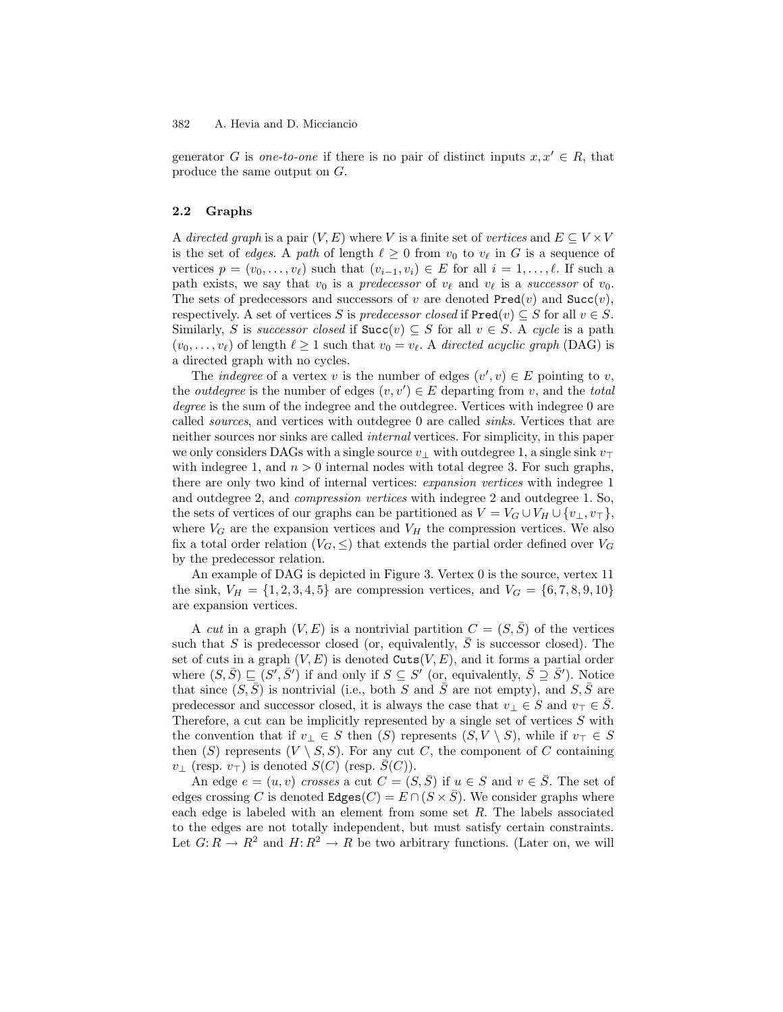generator G is one-to-one if there is no pair of distinct inputs  $x, x' \in R$ , that produce the same output on G.

## 2.2 Graphs

A directed graph is a pair  $(V, E)$  where V is a finite set of vertices and  $E \subseteq V \times V$ is the set of edges. A path of length  $\ell \geq 0$  from  $v_0$  to  $v_\ell$  in G is a sequence of vertices  $p = (v_0, \ldots, v_\ell)$  such that  $(v_{i-1}, v_i) \in E$  for all  $i = 1, \ldots, \ell$ . If such a path exists, we say that  $v_0$  is a predecessor of  $v_\ell$  and  $v_\ell$  is a successor of  $v_0$ . The sets of predecessors and successors of v are denoted  $\text{Pred}(v)$  and  $\text{Succ}(v)$ , respectively. A set of vertices S is predecessor closed if  $\text{Pred}(v) \subseteq S$  for all  $v \in S$ . Similarly, S is successor closed if  $Succ(v) \subseteq S$  for all  $v \in S$ . A cycle is a path  $(v_0, \ldots, v_\ell)$  of length  $\ell \geq 1$  such that  $v_0 = v_\ell$ . A directed acyclic graph (DAG) is a directed graph with no cycles.

The *indegree* of a vertex v is the number of edges  $(v', v) \in E$  pointing to v, the *outdegree* is the number of edges  $(v, v') \in E$  departing from v, and the *total* degree is the sum of the indegree and the outdegree. Vertices with indegree 0 are called sources, and vertices with outdegree 0 are called sinks. Vertices that are neither sources nor sinks are called internal vertices. For simplicity, in this paper we only considers DAGs with a single source  $v_{\perp}$  with outdegree 1, a single sink  $v_{\perp}$ with indegree 1, and  $n > 0$  internal nodes with total degree 3. For such graphs, there are only two kind of internal vertices: expansion vertices with indegree 1 and outdegree 2, and compression vertices with indegree 2 and outdegree 1. So, the sets of vertices of our graphs can be partitioned as  $V = V_G \cup V_H \cup \{v_\perp, v_\perp\},$ where  $V_G$  are the expansion vertices and  $V_H$  the compression vertices. We also fix a total order relation  $(V_G, \leq)$  that extends the partial order defined over  $V_G$ by the predecessor relation.

An example of DAG is depicted in Figure 3. Vertex 0 is the source, vertex 11 the sink,  $V_H = \{1, 2, 3, 4, 5\}$  are compression vertices, and  $V_G = \{6, 7, 8, 9, 10\}$ are expansion vertices.

A cut in a graph  $(V, E)$  is a nontrivial partition  $C = (S, \overline{S})$  of the vertices such that S is predecessor closed (or, equivalently,  $\overline{S}$  is successor closed). The set of cuts in a graph  $(V, E)$  is denoted  $\texttt{Cuts}(V, E)$ , and it forms a partial order where  $(S, \bar{S}) \sqsubseteq (S', \bar{S}')$  if and only if  $S \subseteq S'$  (or, equivalently,  $\bar{S} \supseteq \bar{S}'$ ). Notice that since  $(S,\bar{S})$  is nontrivial (i.e., both S and  $\bar{S}$  are not empty), and  $S,\bar{S}$  are predecessor and successor closed, it is always the case that  $v_{\perp} \in S$  and  $v_{\perp} \in \overline{S}$ . Therefore, a cut can be implicitly represented by a single set of vertices  $S$  with the convention that if  $v_{\perp} \in S$  then  $(S)$  represents  $(S, V \setminus S)$ , while if  $v_{\perp} \in S$ then  $(S)$  represents  $(V \setminus S, S)$ . For any cut C, the component of C containing  $v_{\perp}$  (resp.  $v_{\perp}$ ) is denoted  $S(C)$  (resp.  $\overline{S}(C)$ ).

An edge  $e = (u, v)$  crosses a cut  $C = (S, \overline{S})$  if  $u \in S$  and  $v \in \overline{S}$ . The set of edges crossing C is denoted Edges $(C) = E \cap (S \times \overline{S})$ . We consider graphs where each edge is labeled with an element from some set  $R$ . The labels associated to the edges are not totally independent, but must satisfy certain constraints. Let  $G: R \to R^2$  and  $H: R^2 \to R$  be two arbitrary functions. (Later on, we will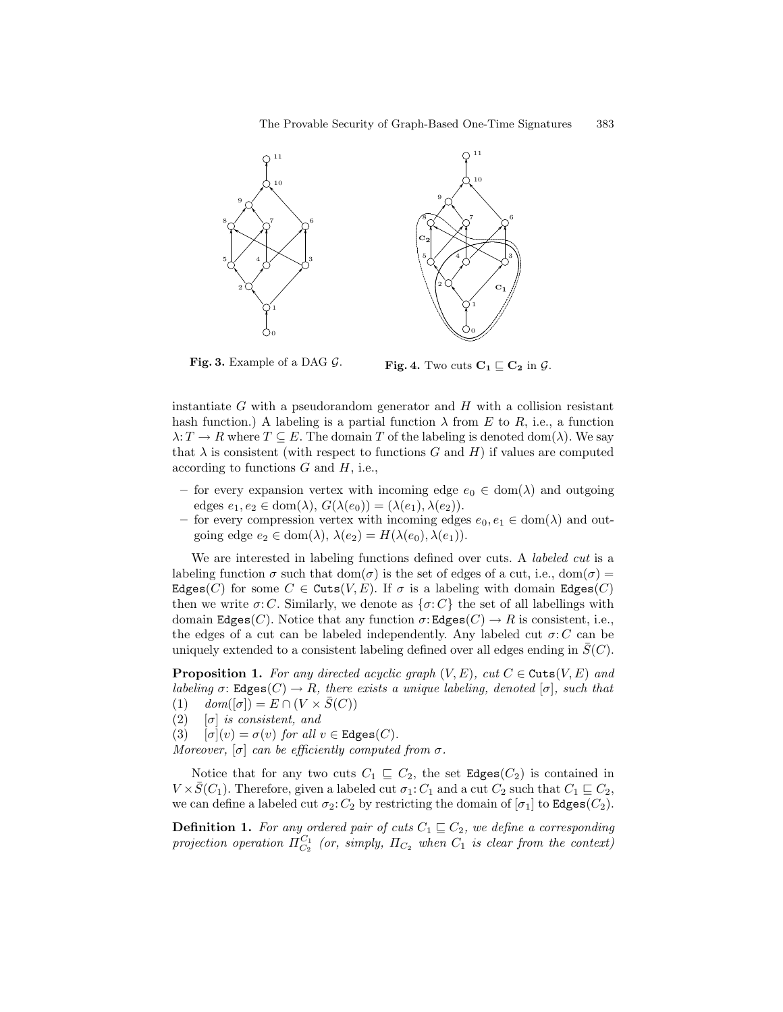

Fig. 3. Example of a DAG  $\mathcal{G}$ .

Fig. 4. Two cuts  $C_1 \sqsubseteq C_2$  in  $\mathcal{G}$ .

instantiate  $G$  with a pseudorandom generator and  $H$  with a collision resistant hash function.) A labeling is a partial function  $\lambda$  from E to R, i.e., a function  $\lambda: T \to R$  where  $T \subseteq E$ . The domain T of the labeling is denoted dom( $\lambda$ ). We say that  $\lambda$  is consistent (with respect to functions G and H) if values are computed according to functions  $G$  and  $H$ , i.e.,

- for every expansion vertex with incoming edge  $e_0 \in \text{dom}(\lambda)$  and outgoing edges  $e_1, e_2 \in \text{dom}(\lambda), G(\lambda(e_0)) = (\lambda(e_1), \lambda(e_2)).$
- for every compression vertex with incoming edges  $e_0, e_1 \in \text{dom}(\lambda)$  and outgoing edge  $e_2 \in \text{dom}(\lambda)$ ,  $\lambda(e_2) = H(\lambda(e_0), \lambda(e_1)).$

We are interested in labeling functions defined over cuts. A *labeled cut* is a labeling function  $\sigma$  such that  $dom(\sigma)$  is the set of edges of a cut, i.e.,  $dom(\sigma)$ Edges(C) for some  $C \in \text{Cuts}(V, E)$ . If  $\sigma$  is a labeling with domain Edges(C) then we write  $\sigma: C$ . Similarly, we denote as  $\{\sigma: C\}$  the set of all labellings with domain Edges(C). Notice that any function  $\sigma: \text{Edges}(C) \to R$  is consistent, i.e., the edges of a cut can be labeled independently. Any labeled cut  $\sigma$ : C can be uniquely extended to a consistent labeling defined over all edges ending in  $S(C)$ .

**Proposition 1.** For any directed acyclic graph  $(V, E)$ , cut  $C \in \text{Cuts}(V, E)$  and labeling  $\sigma$ : Edges $(C) \rightarrow R$ , there exists a unique labeling, denoted  $[\sigma]$ , such that (1)  $dom([\sigma]) = E \cap (V \times \overline{S}(C))$ 

(2)  $[\sigma]$  is consistent, and

(3)  $[\sigma](v) = \sigma(v)$  for all  $v \in \text{Edges}(C)$ .

Moreover,  $[\sigma]$  can be efficiently computed from  $\sigma$ .

Notice that for any two cuts  $C_1 \subseteq C_2$ , the set **Edges**( $C_2$ ) is contained in  $V \times \overline{S}(C_1)$ . Therefore, given a labeled cut  $\sigma_1: C_1$  and a cut  $C_2$  such that  $C_1 \sqsubseteq C_2$ , we can define a labeled cut  $\sigma_2$ :  $C_2$  by restricting the domain of  $[\sigma_1]$  to **Edges** $(C_2)$ .

**Definition 1.** For any ordered pair of cuts  $C_1 \sqsubseteq C_2$ , we define a corresponding projection operation  $\Pi_{C_2}^{C_1}$  (or, simply,  $\Pi_{C_2}$  when  $C_1$  is clear from the context)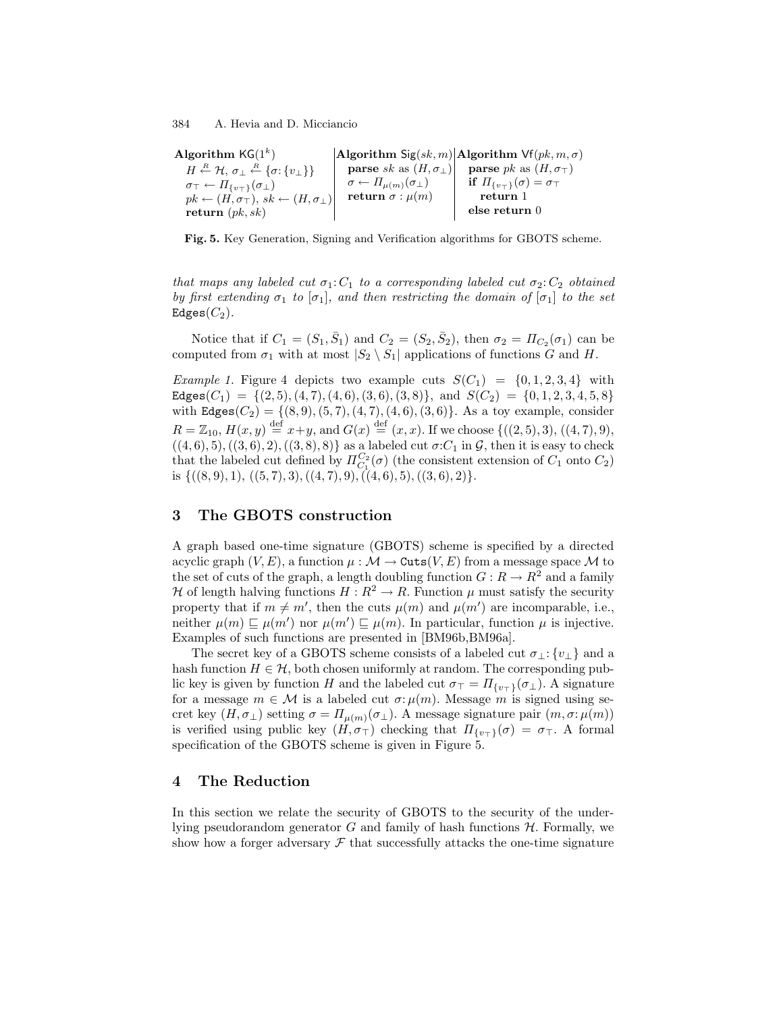| Algorithm $\mathsf{KG}(1^k)$                                                                                 |                                                  | Algorithm Sig $(sk, m)$ Algorithm Vf $(pk, m, \sigma)$ |
|--------------------------------------------------------------------------------------------------------------|--------------------------------------------------|--------------------------------------------------------|
| $H \stackrel{R}{\leftarrow} \mathcal{H}, \sigma_{\perp} \stackrel{R}{\leftarrow} \{\sigma: \{v_{\perp}\}\}\$ | <b>parse</b> sk as $(H, \sigma_{\perp})$         | <b>parse</b> <i>pk</i> as $(H, \sigma_T)$              |
| $\sigma_{\top} \leftarrow \Pi_{\{v_{\top}\}}(\sigma_{\bot})$                                                 | $\sigma \leftarrow \Pi_{\mu(m)}(\sigma_{\perp})$ | if $\Pi_{\{v_\tau\}}(\sigma) = \sigma_\tau$            |
| $pk \leftarrow (H, \sigma_{\top}), sk \leftarrow (H, \sigma_{\bot})$                                         | return $\sigma$ : $\mu(m)$                       | return 1                                               |
| return $(pk, sk)$                                                                                            |                                                  | else return 0                                          |

Fig. 5. Key Generation, Signing and Verification algorithms for GBOTS scheme.

that maps any labeled cut  $\sigma_1: C_1$  to a corresponding labeled cut  $\sigma_2: C_2$  obtained by first extending  $\sigma_1$  to  $[\sigma_1]$ , and then restricting the domain of  $[\sigma_1]$  to the set Edges $(C_2)$ .

Notice that if  $C_1 = (S_1, \bar{S}_1)$  and  $C_2 = (S_2, \bar{S}_2)$ , then  $\sigma_2 = \Pi_{C_2}(\sigma_1)$  can be computed from  $\sigma_1$  with at most  $|S_2 \setminus S_1|$  applications of functions G and H.

*Example 1.* Figure 4 depicts two example cuts  $S(C_1) = \{0, 1, 2, 3, 4\}$  with Edges $(C_1) = \{(2, 5), (4, 7), (4, 6), (3, 6), (3, 8)\},$  and  $S(C_2) = \{0, 1, 2, 3, 4, 5, 8\}$ with Edges $(C_2) = \{(8, 9), (5, 7), (4, 7), (4, 6), (3, 6)\}.$  As a toy example, consider  $R = \mathbb{Z}_{10}, H(x, y) \stackrel{\text{def}}{=} x+y$ , and  $G(x) \stackrel{\text{def}}{=} (x, x)$ . If we choose  $\{((2,5), 3), ((4,7), 9),$  $((4, 6), 5), ((3, 6), 2), ((3, 8), 8)$  as a labeled cut  $\sigma:C_1$  in  $\mathcal{G}$ , then it is easy to check that the labeled cut defined by  $\Pi_{C_1}^{C_2}(\sigma)$  (the consistent extension of  $C_1$  onto  $C_2$ ) is  $\{((8,9),1), ((5,7),3),((4,7),9),((4,6),5),((3,6),2)\}.$ 

## 3 The GBOTS construction

A graph based one-time signature (GBOTS) scheme is specified by a directed acyclic graph  $(V, E)$ , a function  $\mu : \mathcal{M} \to \text{Cuts}(V, E)$  from a message space  $\mathcal M$  to the set of cuts of the graph, a length doubling function  $G: R \to R^2$  and a family H of length halving functions  $H: \mathbb{R}^2 \to \mathbb{R}$ . Function  $\mu$  must satisfy the security property that if  $m \neq m'$ , then the cuts  $\mu(m)$  and  $\mu(m')$  are incomparable, i.e., neither  $\mu(m) \sqsubseteq \mu(m')$  nor  $\mu(m') \sqsubseteq \mu(m)$ . In particular, function  $\mu$  is injective. Examples of such functions are presented in [BM96b,BM96a].

The secret key of a GBOTS scheme consists of a labeled cut  $\sigma_{\perp}$ : {v<sub>⊥</sub>} and a hash function  $H \in \mathcal{H}$ , both chosen uniformly at random. The corresponding public key is given by function H and the labeled cut  $\sigma_{\top} = \Pi_{\{v_{\top}\}}(\sigma_{\bot})$ . A signature for a message  $m \in \mathcal{M}$  is a labeled cut  $\sigma: \mu(m)$ . Message m is signed using secret key  $(H, \sigma_{\perp})$  setting  $\sigma = \Pi_{\mu(m)}(\sigma_{\perp}).$  A message signature pair  $(m, \sigma : \mu(m))$ is verified using public key  $(H, \sigma_T)$  checking that  $\Pi_{\{v_T\}}(\sigma) = \sigma_T$ . A formal specification of the GBOTS scheme is given in Figure 5.

## 4 The Reduction

In this section we relate the security of GBOTS to the security of the underlying pseudorandom generator  $G$  and family of hash functions  $H$ . Formally, we show how a forger adversary  $\mathcal F$  that successfully attacks the one-time signature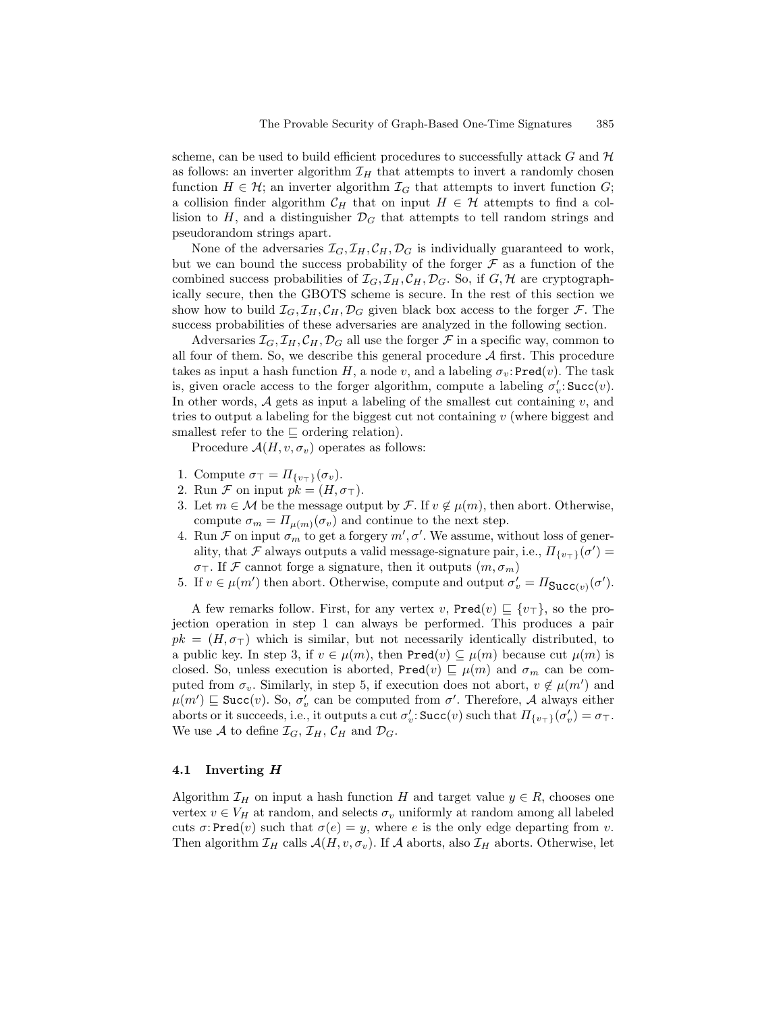scheme, can be used to build efficient procedures to successfully attack G and  $\mathcal H$ as follows: an inverter algorithm  $\mathcal{I}_H$  that attempts to invert a randomly chosen function  $H \in \mathcal{H}$ ; an inverter algorithm  $\mathcal{I}_G$  that attempts to invert function  $G$ ; a collision finder algorithm  $C_H$  that on input  $H \in \mathcal{H}$  attempts to find a collision to  $H$ , and a distinguisher  $\mathcal{D}_G$  that attempts to tell random strings and pseudorandom strings apart.

None of the adversaries  $\mathcal{I}_G, \mathcal{I}_H, \mathcal{C}_H, \mathcal{D}_G$  is individually guaranteed to work, but we can bound the success probability of the forger  $\mathcal F$  as a function of the combined success probabilities of  $\mathcal{I}_G, \mathcal{I}_H, \mathcal{C}_H, \mathcal{D}_G$ . So, if  $G, \mathcal{H}$  are cryptographically secure, then the GBOTS scheme is secure. In the rest of this section we show how to build  $\mathcal{I}_G, \mathcal{I}_H, \mathcal{C}_H, \mathcal{D}_G$  given black box access to the forger  $\mathcal{F}$ . The success probabilities of these adversaries are analyzed in the following section.

Adversaries  $\mathcal{I}_G, \mathcal{I}_H, \mathcal{C}_H, \mathcal{D}_G$  all use the forger  $\mathcal F$  in a specific way, common to all four of them. So, we describe this general procedure  $A$  first. This procedure takes as input a hash function H, a node v, and a labeling  $\sigma_v$ : Pred(v). The task is, given oracle access to the forger algorithm, compute a labeling  $\sigma'_v$ : Succ $(v)$ . In other words,  $A$  gets as input a labeling of the smallest cut containing  $v$ , and tries to output a labeling for the biggest cut not containing  $v$  (where biggest and smallest refer to the  $\Box$  ordering relation).

Procedure  $\mathcal{A}(H, v, \sigma_v)$  operates as follows:

- 1. Compute  $\sigma_{\top} = \Pi_{\{v_{\top}\}}(\sigma_v)$ .
- 2. Run F on input  $pk = (H, \sigma_\top)$ .
- 3. Let  $m \in \mathcal{M}$  be the message output by  $\mathcal{F}$ . If  $v \notin \mu(m)$ , then abort. Otherwise, compute  $\sigma_m = \Pi_{\mu(m)}(\sigma_v)$  and continue to the next step.
- 4. Run  $\mathcal F$  on input  $\sigma_m$  to get a forgery  $m', \sigma'$ . We assume, without loss of generality, that  $\mathcal F$  always outputs a valid message-signature pair, i.e.,  $\Pi_{\{v_{\tau}\}}(\sigma') =$  $\sigma_{\top}$ . If F cannot forge a signature, then it outputs  $(m, \sigma_m)$
- 5. If  $v \in \mu(m')$  then abort. Otherwise, compute and output  $\sigma'_v = \Pi_{\text{Succ}(v)}(\sigma')$ .

A few remarks follow. First, for any vertex v,  $\text{Pred}(v) \subseteq \{v_{\top}\}\$ , so the projection operation in step 1 can always be performed. This produces a pair  $pk = (H, \sigma<sub>T</sub>)$  which is similar, but not necessarily identically distributed, to a public key. In step 3, if  $v \in \mu(m)$ , then  $\text{Pred}(v) \subseteq \mu(m)$  because cut  $\mu(m)$  is closed. So, unless execution is aborted, Pred $(v) \sqsubseteq \mu(m)$  and  $\sigma_m$  can be computed from  $\sigma_v$ . Similarly, in step 5, if execution does not abort,  $v \notin \mu(m')$  and  $\mu(m') \sqsubseteq \text{Succ}(v)$ . So,  $\sigma'_v$  can be computed from  $\sigma'$ . Therefore, A always either aborts or it succeeds, i.e., it outputs a cut  $\sigma'_v$ : Succ $(v)$  such that  $\Pi_{\{v \tau\}}(\sigma'_v) = \sigma_\top$ . We use A to define  $\mathcal{I}_G$ ,  $\mathcal{I}_H$ ,  $\mathcal{C}_H$  and  $\mathcal{D}_G$ .

#### 4.1 Inverting H

Algorithm  $\mathcal{I}_H$  on input a hash function H and target value  $y \in R$ , chooses one vertex  $v \in V_H$  at random, and selects  $\sigma_v$  uniformly at random among all labeled cuts  $\sigma$ : Pred(v) such that  $\sigma(e) = y$ , where e is the only edge departing from v. Then algorithm  $\mathcal{I}_H$  calls  $\mathcal{A}(H, v, \sigma_v)$ . If A aborts, also  $\mathcal{I}_H$  aborts. Otherwise, let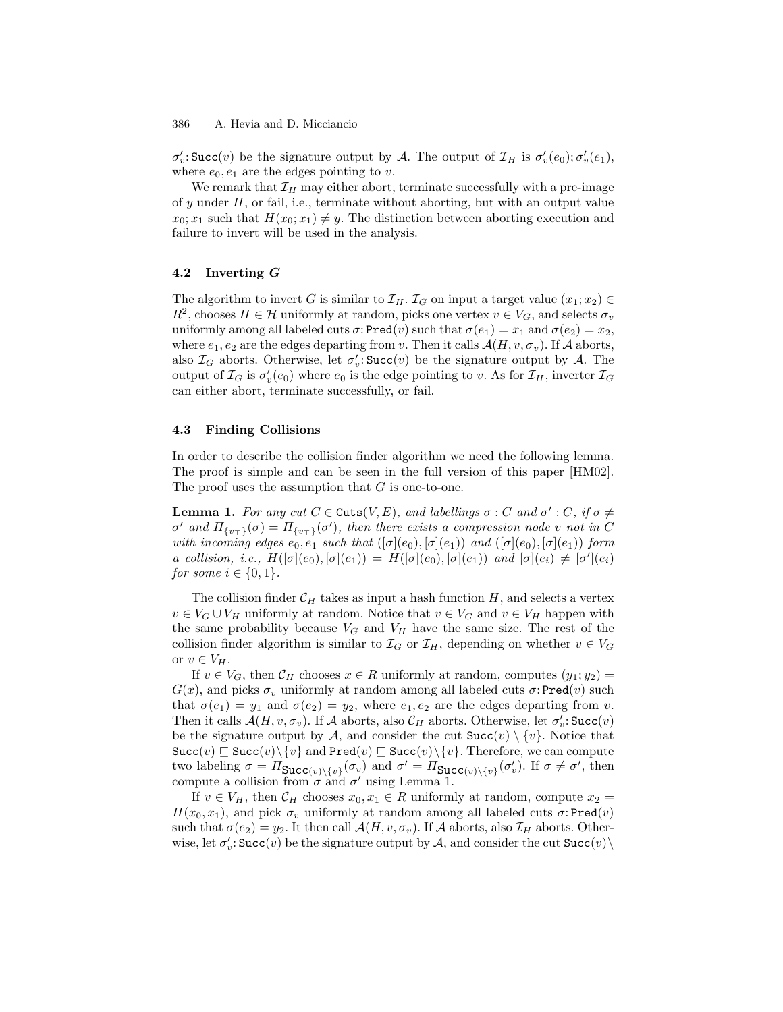$\sigma'_v$ : Succ $(v)$  be the signature output by A. The output of  $\mathcal{I}_H$  is  $\sigma'_v(e_0)$ ;  $\sigma'_v(e_1)$ , where  $e_0, e_1$  are the edges pointing to v.

We remark that  $\mathcal{I}_H$  may either abort, terminate successfully with a pre-image of  $y$  under  $H$ , or fail, i.e., terminate without aborting, but with an output value  $x_0; x_1$  such that  $H(x_0; x_1) \neq y$ . The distinction between aborting execution and failure to invert will be used in the analysis.

#### 4.2 Inverting G

The algorithm to invert G is similar to  $\mathcal{I}_H$ .  $\mathcal{I}_G$  on input a target value  $(x_1; x_2) \in$  $R^2$ , chooses  $H \in \mathcal{H}$  uniformly at random, picks one vertex  $v \in V_G$ , and selects  $\sigma_v$ uniformly among all labeled cuts  $\sigma$ : Pred $(v)$  such that  $\sigma(e_1) = x_1$  and  $\sigma(e_2) = x_2$ , where  $e_1, e_2$  are the edges departing from v. Then it calls  $\mathcal{A}(H, v, \sigma_v)$ . If A aborts, also  $\mathcal{I}_G$  aborts. Otherwise, let  $\sigma'_v$ : Succ $(v)$  be the signature output by A. The output of  $\mathcal{I}_G$  is  $\sigma'_v(e_0)$  where  $e_0$  is the edge pointing to v. As for  $\mathcal{I}_H$ , inverter  $\mathcal{I}_G$ can either abort, terminate successfully, or fail.

## 4.3 Finding Collisions

In order to describe the collision finder algorithm we need the following lemma. The proof is simple and can be seen in the full version of this paper [HM02]. The proof uses the assumption that  $G$  is one-to-one.

**Lemma 1.** For any cut  $C \in \text{Cuts}(V, E)$ , and labellings  $\sigma : C$  and  $\sigma' : C$ , if  $\sigma \neq$  $\sigma'$  and  $\Pi_{\{v_{\top}\}}(\sigma) = \Pi_{\{v_{\top}\}}(\sigma')$ , then there exists a compression node v not in C with incoming edges  $e_0, e_1$  such that  $([\sigma](e_0), [\sigma](e_1))$  and  $([\sigma](e_0), [\sigma](e_1))$  form a collision, i.e.,  $H([\sigma](e_0), [\sigma](e_1)) = H([\sigma](e_0), [\sigma](e_1))$  and  $[\sigma](e_i) \neq [\sigma'](e_i)$ for some  $i \in \{0,1\}$ .

The collision finder  $C_H$  takes as input a hash function H, and selects a vertex  $v \in V_G \cup V_H$  uniformly at random. Notice that  $v \in V_G$  and  $v \in V_H$  happen with the same probability because  $V_G$  and  $V_H$  have the same size. The rest of the collision finder algorithm is similar to  $\mathcal{I}_G$  or  $\mathcal{I}_H$ , depending on whether  $v \in V_G$ or  $v \in V_H$ .

If  $v \in V_G$ , then  $\mathcal{C}_H$  chooses  $x \in R$  uniformly at random, computes  $(y_1; y_2)$  =  $G(x)$ , and picks  $\sigma_y$  uniformly at random among all labeled cuts  $\sigma$ : Pred $(v)$  such that  $\sigma(e_1) = y_1$  and  $\sigma(e_2) = y_2$ , where  $e_1, e_2$  are the edges departing from v. Then it calls  $\mathcal{A}(H, v, \sigma_v)$ . If  $\mathcal A$  aborts, also  $\mathcal C_H$  aborts. Otherwise, let  $\sigma'_v$ : Succ $(v)$ be the signature output by A, and consider the cut  $succ(v) \setminus \{v\}$ . Notice that  $Succ(v) \subseteq Succ(v) \setminus \{v\}$  and  $Pred(v) \subseteq Succ(v) \setminus \{v\}$ . Therefore, we can compute two labeling  $\sigma = \Pi_{\text{Succ}(v) \setminus \{v\}}(\sigma_v)$  and  $\sigma' = \Pi_{\text{Succ}(v) \setminus \{v\}}(\sigma'_v)$ . If  $\sigma \neq \sigma'$ , then compute a collision from  $\sigma$  and  $\sigma'$  using Lemma 1.

If  $v \in V_H$ , then  $\mathcal{C}_H$  chooses  $x_0, x_1 \in R$  uniformly at random, compute  $x_2 =$  $H(x_0, x_1)$ , and pick  $\sigma_v$  uniformly at random among all labeled cuts  $\sigma$ : Pred $(v)$ such that  $\sigma(e_2) = y_2$ . It then call  $\mathcal{A}(H, v, \sigma_v)$ . If A aborts, also  $\mathcal{I}_H$  aborts. Otherwise, let  $\sigma'_v$ : Succ $(v)$  be the signature output by  $\mathcal{A}$ , and consider the cut  $\text{Succ}(v)\setminus$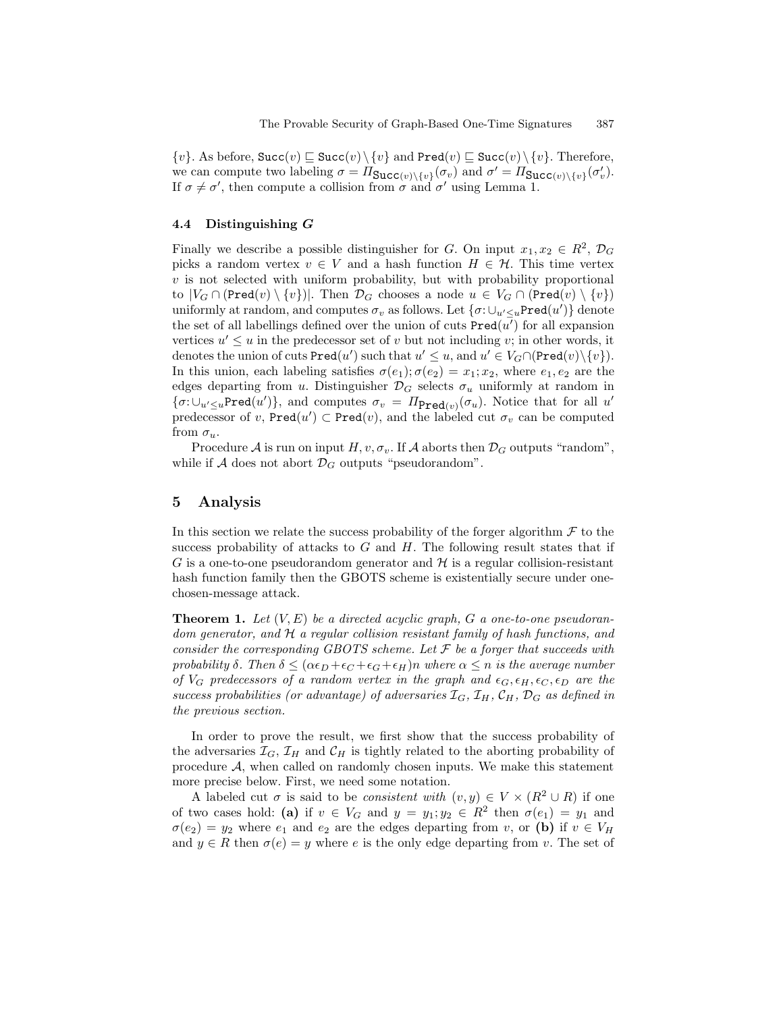$\{v\}$ . As before,  $\text{Succ}(v) \sqsubseteq \text{Succ}(v) \setminus \{v\}$  and  $\text{Pred}(v) \sqsubseteq \text{Succ}(v) \setminus \{v\}$ . Therefore, we can compute two labeling  $\sigma = \Pi_{\text{Succ}(v)\setminus\{v\}}(\sigma_v)$  and  $\sigma' = \Pi_{\text{Succ}(v)\setminus\{v\}}(\sigma'_v)$ . If  $\sigma \neq \sigma'$ , then compute a collision from  $\sigma$  and  $\sigma'$  using Lemma 1.

#### 4.4 Distinguishing G

Finally we describe a possible distinguisher for G. On input  $x_1, x_2 \in \mathbb{R}^2$ ,  $\mathcal{D}_G$ picks a random vertex  $v \in V$  and a hash function  $H \in \mathcal{H}$ . This time vertex  $v$  is not selected with uniform probability, but with probability proportional to  $|V_G \cap (\text{Pred}(v) \setminus \{v\})|$ . Then  $\mathcal{D}_G$  chooses a node  $u \in V_G \cap (\text{Pred}(v) \setminus \{v\})$ uniformly at random, and computes  $\sigma_v$  as follows. Let  $\{\sigma: \cup_{u'\leq u}\text{Pred}(u')\}$  denote the set of all labellings defined over the union of cuts  $\text{Pred}(u^{\overline{\prime}})$  for all expansion vertices  $u' \leq u$  in the predecessor set of v but not including v; in other words, it denotes the union of cuts  $\texttt{Pred}(u')$  such that  $u' \leq u$ , and  $u' \in V_G \cap (\texttt{Pred}(v) \setminus \{v\})$ . In this union, each labeling satisfies  $\sigma(e_1); \sigma(e_2) = x_1; x_2$ , where  $e_1, e_2$  are the edges departing from u. Distinguisher  $\mathcal{D}_G$  selects  $\sigma_u$  uniformly at random in  ${\sigma : \bigcup_{u' \leq u} \text{Pred}(u')\},\$ and computes  $\sigma_v = \Pi_{\text{Pred}(v)}(\sigma_u)$ . Notice that for all u' predecessor of v, Pred $(u') \subset \text{Pred}(v)$ , and the labeled cut  $\sigma_v$  can be computed from  $\sigma_u$ .

Procedure A is run on input  $H, v, \sigma_v$ . If A aborts then  $\mathcal{D}_G$  outputs "random", while if  $A$  does not abort  $\mathcal{D}_G$  outputs "pseudorandom".

## 5 Analysis

In this section we relate the success probability of the forger algorithm  $\mathcal F$  to the success probability of attacks to  $G$  and  $H$ . The following result states that if G is a one-to-one pseudorandom generator and  $\mathcal H$  is a regular collision-resistant hash function family then the GBOTS scheme is existentially secure under onechosen-message attack.

**Theorem 1.** Let  $(V, E)$  be a directed acyclic graph, G a one-to-one pseudorandom generator, and  $H$  a regular collision resistant family of hash functions, and consider the corresponding GBOTS scheme. Let  $\mathcal F$  be a forger that succeeds with probability  $\delta$ . Then  $\delta \leq (\alpha \epsilon_D + \epsilon_C + \epsilon_H)n$  where  $\alpha \leq n$  is the average number of  $V_G$  predecessors of a random vertex in the graph and  $\epsilon_G$ ,  $\epsilon_H$ ,  $\epsilon_C$ ,  $\epsilon_D$  are the success probabilities (or advantage) of adversaries  $\mathcal{I}_G$ ,  $\mathcal{I}_H$ ,  $\mathcal{C}_H$ ,  $\mathcal{D}_G$  as defined in the previous section.

In order to prove the result, we first show that the success probability of the adversaries  $\mathcal{I}_G$ ,  $\mathcal{I}_H$  and  $\mathcal{C}_H$  is tightly related to the aborting probability of procedure  $A$ , when called on randomly chosen inputs. We make this statement more precise below. First, we need some notation.

A labeled cut  $\sigma$  is said to be *consistent with*  $(v, y) \in V \times (R^2 \cup R)$  if one of two cases hold: (a) if  $v \in V_G$  and  $y = y_1; y_2 \in R^2$  then  $\sigma(e_1) = y_1$  and  $\sigma(e_2) = y_2$  where  $e_1$  and  $e_2$  are the edges departing from v, or (b) if  $v \in V_H$ and  $y \in R$  then  $\sigma(e) = y$  where e is the only edge departing from v. The set of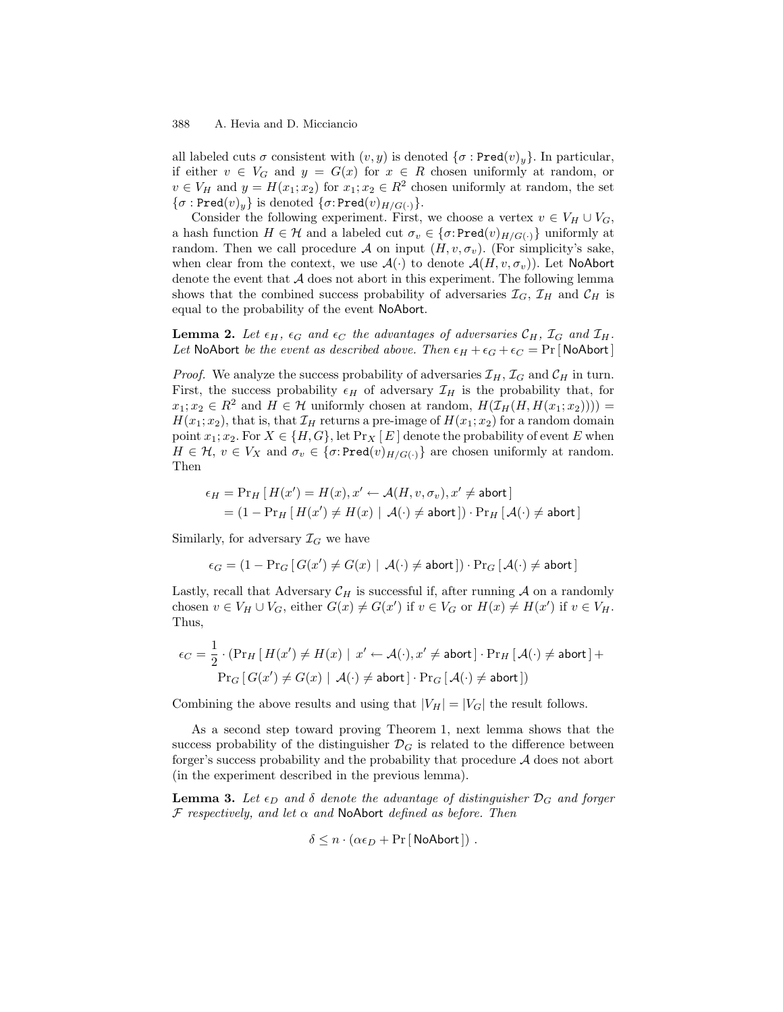all labeled cuts  $\sigma$  consistent with  $(v, y)$  is denoted  $\{\sigma : \text{Pred}(v)_y\}$ . In particular, if either  $v \in V_G$  and  $y = G(x)$  for  $x \in R$  chosen uniformly at random, or  $v \in V_H$  and  $y = H(x_1; x_2)$  for  $x_1; x_2 \in R^2$  chosen uniformly at random, the set  $\{\sigma : \text{Pred}(v)_y\}$  is denoted  $\{\sigma : \text{Pred}(v)_{H/G(\cdot)}\}.$ 

Consider the following experiment. First, we choose a vertex  $v \in V_H \cup V_G$ , a hash function  $H \in \mathcal{H}$  and a labeled cut  $\sigma_v \in {\{\sigma : \text{Pred}(v)_{H/G(.)}\}}$  uniformly at random. Then we call procedure A on input  $(H, v, \sigma_v)$ . (For simplicity's sake, when clear from the context, we use  $\mathcal{A}(\cdot)$  to denote  $\mathcal{A}(H, v, \sigma_v)$ ). Let NoAbort denote the event that  $A$  does not abort in this experiment. The following lemma shows that the combined success probability of adversaries  $\mathcal{I}_G$ ,  $\mathcal{I}_H$  and  $\mathcal{C}_H$  is equal to the probability of the event NoAbort.

**Lemma 2.** Let  $\epsilon_H$ ,  $\epsilon_G$  and  $\epsilon_C$  the advantages of adversaries  $\mathcal{C}_H$ ,  $\mathcal{I}_G$  and  $\mathcal{I}_H$ . Let NoAbort be the event as described above. Then  $\epsilon_H + \epsilon_G + \epsilon_C = \Pr[\text{NoAbort}]$ 

*Proof.* We analyze the success probability of adversaries  $\mathcal{I}_H$ ,  $\mathcal{I}_G$  and  $\mathcal{C}_H$  in turn. First, the success probability  $\epsilon_H$  of adversary  $\mathcal{I}_H$  is the probability that, for  $x_1; x_2 \in R^2$  and  $H \in \mathcal{H}$  uniformly chosen at random,  $H(\mathcal{I}_H(H, H(x_1; x_2))))$  $H(x_1; x_2)$ , that is, that  $\mathcal{I}_H$  returns a pre-image of  $H(x_1; x_2)$  for a random domain point  $x_1; x_2$ . For  $X \in \{H, G\}$ , let  $\Pr_X [E]$  denote the probability of event E when  $H \in \mathcal{H}, v \in V_X$  and  $\sigma_v \in {\sigma : \text{Pred}(v)_{H/G(\cdot)} }$  are chosen uniformly at random. Then

$$
\epsilon_H = \Pr_H \left[ H(x') = H(x), x' \leftarrow \mathcal{A}(H, v, \sigma_v), x' \neq \text{abort} \right]
$$

$$
= (1 - \Pr_H \left[ H(x') \neq H(x) \mid \mathcal{A}(\cdot) \neq \text{abort} \right] ) \cdot \Pr_H \left[ \mathcal{A}(\cdot) \neq \text{abort} \right]
$$

Similarly, for adversary  $\mathcal{I}_G$  we have

$$
\epsilon_G = (1 - \Pr_G \left[ G(x') \neq G(x) \mid \, \mathcal{A}(\cdot) \neq \mathsf{abort} \, \right]) \cdot \Pr_G \left[ \, \mathcal{A}(\cdot) \neq \mathsf{abort} \, \right]
$$

Lastly, recall that Adversary  $\mathcal{C}_H$  is successful if, after running A on a randomly chosen  $v \in V_H \cup V_G$ , either  $G(x) \neq G(x')$  if  $v \in V_G$  or  $H(x) \neq H(x')$  if  $v \in V_H$ . Thus,

$$
\epsilon_C = \frac{1}{2} \cdot (\Pr_H \left[ H(x') \neq H(x) \mid x' \leftarrow \mathcal{A}(\cdot), x' \neq \text{abort} \right] \cdot \Pr_H \left[ \mathcal{A}(\cdot) \neq \text{abort} \right] + \\ \Pr_G \left[ G(x') \neq G(x) \mid \mathcal{A}(\cdot) \neq \text{abort} \right] \cdot \Pr_G \left[ \mathcal{A}(\cdot) \neq \text{abort} \right])
$$

Combining the above results and using that  $|V_H| = |V_G|$  the result follows.

As a second step toward proving Theorem 1, next lemma shows that the success probability of the distinguisher  $\mathcal{D}_G$  is related to the difference between forger's success probability and the probability that procedure A does not abort (in the experiment described in the previous lemma).

**Lemma 3.** Let  $\epsilon_D$  and  $\delta$  denote the advantage of distinguisher  $D_G$  and forger  $\mathcal F$  respectively, and let  $\alpha$  and NoAbort defined as before. Then

$$
\delta \leq n \cdot (\alpha \epsilon_D + \Pr[\text{NoAbout}]).
$$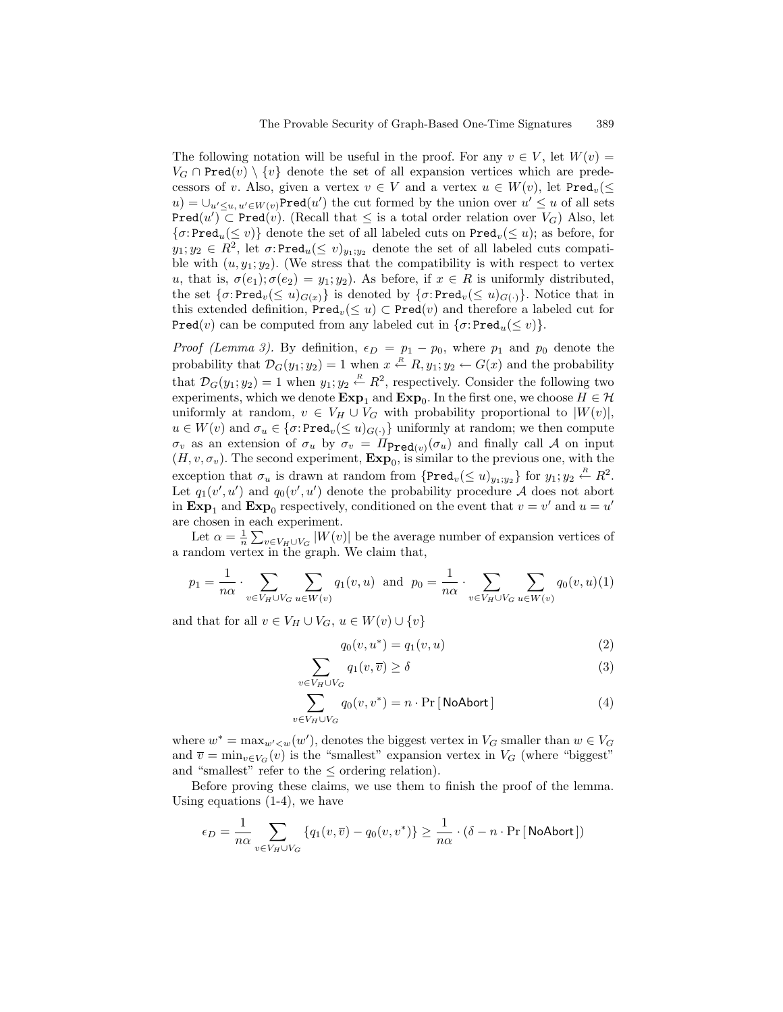The following notation will be useful in the proof. For any  $v \in V$ , let  $W(v) =$  $V_G \cap \text{Pred}(v) \setminus \{v\}$  denote the set of all expansion vertices which are predecessors of v. Also, given a vertex  $v \in V$  and a vertex  $u \in W(v)$ , let  $\text{Pred}_v(\leq$  $(u) = \bigcup_{u' \leq u, u' \in W(v)} \text{Pred}(u')$  the cut formed by the union over  $u' \leq u$  of all sets Pred $(u')$   $\subset$  Pred $(v)$ . (Recall that  $\leq$  is a total order relation over  $V_G$ ) Also, let  ${\lbrace \sigma: Pred_u(\leq v) \rbrace}$  denote the set of all labeled cuts on  $Pred_v(\leq u)$ ; as before, for  $y_1, y_2 \in R^2$ , let  $\sigma: \text{Pred}_u(\leq v)_{y_1, y_2}$  denote the set of all labeled cuts compatible with  $(u, y_1; y_2)$ . (We stress that the compatibility is with respect to vertex u, that is,  $\sigma(e_1)$ ;  $\sigma(e_2) = y_1$ ;  $y_2$ ). As before, if  $x \in R$  is uniformly distributed, the set  $\{\sigma: Pred_v(\leq u)_{G(x)}\}$  is denoted by  $\{\sigma: Pred_v(\leq u)_{G(\cdot)}\}$ . Notice that in this extended definition,  $\text{Pred}_{v}(\leq u) \subset \text{Pred}(v)$  and therefore a labeled cut for Pred(v) can be computed from any labeled cut in  $\{\sigma: Pred_u(\leq v)\}.$ 

*Proof (Lemma 3)*. By definition,  $\epsilon_D = p_1 - p_0$ , where  $p_1$  and  $p_0$  denote the probability that  $\mathcal{D}_G(y_1; y_2) = 1$  when  $x \stackrel{R}{\leftarrow} R, y_1; y_2 \leftarrow G(x)$  and the probability that  $\mathcal{D}_G(y_1; y_2) = 1$  when  $y_1; y_2 \stackrel{R}{\leftarrow} R^2$ , respectively. Consider the following two experiments, which we denote  $\textbf{Exp}_1$  and  $\textbf{Exp}_0$ . In the first one, we choose  $H \in \mathcal{H}$ uniformly at random,  $v \in V_H \cup V_G$  with probability proportional to  $|W(v)|$ ,  $u \in W(v)$  and  $\sigma_u \in {\sigma : \texttt{Pred}_v(\leq u)_{G(\cdot)}}$  uniformly at random; we then compute  $\sigma_v$  as an extension of  $\sigma_u$  by  $\sigma_v = \Pi_{\text{Pred}(v)}(\sigma_u)$  and finally call A on input  $(H, v, \sigma_v)$ . The second experiment,  $\text{Exp}_0$ , is similar to the previous one, with the exception that  $\sigma_u$  is drawn at random from  $\{\texttt{Pred}_v(\leq u)_{y_1,y_2}\}\$  for  $y_1; y_2 \stackrel{R}{\leftarrow} R^2$ . Let  $q_1(v', u')$  and  $q_0(v', u')$  denote the probability procedure A does not abort in  $\text{Exp}_1$  and  $\text{Exp}_0$  respectively, conditioned on the event that  $v = v'$  and  $u = u'$ are chosen in each experiment.

Let  $\alpha = \frac{1}{n} \sum_{v \in V_H \cup V_G} |W(v)|$  be the average number of expansion vertices of a random vertex in the graph. We claim that,

$$
p_1 = \frac{1}{n\alpha} \cdot \sum_{v \in V_H \cup V_G} \sum_{u \in W(v)} q_1(v, u) \text{ and } p_0 = \frac{1}{n\alpha} \cdot \sum_{v \in V_H \cup V_G} \sum_{u \in W(v)} q_0(v, u)(1)
$$

and that for all  $v \in V_H \cup V_G$ ,  $u \in W(v) \cup \{v\}$ 

$$
q_0(v, u^*) = q_1(v, u)
$$
\n(2)

$$
\sum_{v \in V_H \cup V_G} q_1(v, \overline{v}) \ge \delta \tag{3}
$$

$$
\sum_{v \in V_H \cup V_G} q_0(v, v^*) = n \cdot \Pr[\text{NoAbort}] \tag{4}
$$

where  $w^* = \max_{w' < w} (w')$ , denotes the biggest vertex in  $V_G$  smaller than  $w \in V_G$ and  $\overline{v} = \min_{v \in V_G}(v)$  is the "smallest" expansion vertex in  $V_G$  (where "biggest" and "smallest" refer to the  $\leq$  ordering relation).

Before proving these claims, we use them to finish the proof of the lemma. Using equations (1-4), we have

$$
\epsilon_D = \frac{1}{n\alpha} \sum_{v \in V_H \cup V_G} \{q_1(v, \overline{v}) - q_0(v, v^*)\} \ge \frac{1}{n\alpha} \cdot (\delta - n \cdot \Pr[\text{NoAbort}])
$$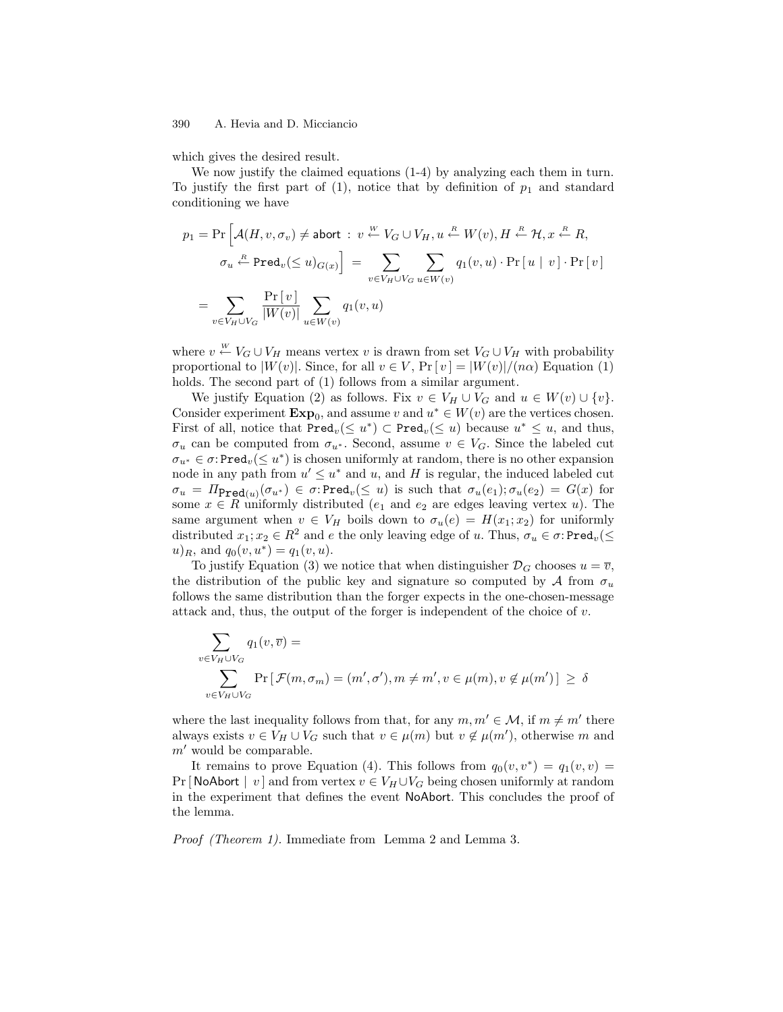which gives the desired result.

We now justify the claimed equations  $(1-4)$  by analyzing each them in turn. To justify the first part of  $(1)$ , notice that by definition of  $p_1$  and standard conditioning we have

$$
p_1 = \Pr\left[\mathcal{A}(H, v, \sigma_v) \neq \text{abort} : v \stackrel{w}{\leftarrow} V_G \cup V_H, u \stackrel{R}{\leftarrow} W(v), H \stackrel{R}{\leftarrow} \mathcal{H}, x \stackrel{R}{\leftarrow} R,
$$
  

$$
\sigma_u \stackrel{R}{\leftarrow} \text{Pred}_v(\leq u)_{G(x)}\right) = \sum_{v \in V_H \cup V_G} \sum_{u \in W(v)} q_1(v, u) \cdot \Pr\left[u \mid v\right] \cdot \Pr\left[v\right]
$$
  

$$
= \sum_{v \in V_H \cup V_G} \frac{\Pr\left[v\right]}{|W(v)|} \sum_{u \in W(v)} q_1(v, u)
$$

where  $v \stackrel{w}{\leftarrow} V_G \cup V_H$  means vertex v is drawn from set  $V_G \cup V_H$  with probability proportional to  $|W(v)|$ . Since, for all  $v \in V$ ,  $\Pr[v] = |W(v)|/(n\alpha)$  Equation (1) holds. The second part of  $(1)$  follows from a similar argument.

We justify Equation (2) as follows. Fix  $v \in V_H \cup V_G$  and  $u \in W(v) \cup \{v\}$ . Consider experiment  $\text{Exp}_0$ , and assume v and  $u^* \in W(v)$  are the vertices chosen. First of all, notice that  $\text{Pred}_{v}(\leq u^*) \subset \text{Pred}_{v}(\leq u)$  because  $u^* \leq u$ , and thus,  $\sigma_u$  can be computed from  $\sigma_{u^*}$ . Second, assume  $v \in V_G$ . Since the labeled cut  $\sigma_{u^*} \in \sigma: \texttt{Pred}_v(\leq u^*)$  is chosen uniformly at random, there is no other expansion node in any path from  $u' \leq u^*$  and u, and H is regular, the induced labeled cut  $\sigma_u = \Pi_{\texttt{Pred}(u)}(\sigma_{u^*}) \in \sigma\text{:Pred}_v(\leq u)$  is such that  $\sigma_u(e_1); \sigma_u(e_2) = G(x)$  for some  $x \in R$  uniformly distributed ( $e_1$  and  $e_2$  are edges leaving vertex u). The same argument when  $v \in V_H$  boils down to  $\sigma_u(e) = H(x_1; x_2)$  for uniformly distributed  $x_1; x_2 \in \mathbb{R}^2$  and e the only leaving edge of u. Thus,  $\sigma_u \in \sigma: \text{Pred}_v(\leq$  $u)_R$ , and  $q_0(v, u^*) = q_1(v, u)$ .

To justify Equation (3) we notice that when distinguisher  $\mathcal{D}_G$  chooses  $u = \overline{v}$ , the distribution of the public key and signature so computed by A from  $\sigma_u$ follows the same distribution than the forger expects in the one-chosen-message attack and, thus, the output of the forger is independent of the choice of  $v$ .

$$
\sum_{v \in V_H \cup V_G} q_1(v, \overline{v}) =
$$
\n
$$
\sum_{v \in V_H \cup V_G} \Pr[\mathcal{F}(m, \sigma_m) = (m', \sigma'), m \neq m', v \in \mu(m), v \notin \mu(m')] \ge \delta
$$

where the last inequality follows from that, for any  $m, m' \in \mathcal{M}$ , if  $m \neq m'$  there always exists  $v \in V_H \cup V_G$  such that  $v \in \mu(m)$  but  $v \notin \mu(m')$ , otherwise m and  $m'$  would be comparable.

It remains to prove Equation (4). This follows from  $q_0(v, v^*) = q_1(v, v) =$ Pr[NoAbort | v] and from vertex  $v \in V_H \cup V_G$  being chosen uniformly at random in the experiment that defines the event NoAbort. This concludes the proof of the lemma.

Proof (Theorem 1). Immediate from Lemma 2 and Lemma 3.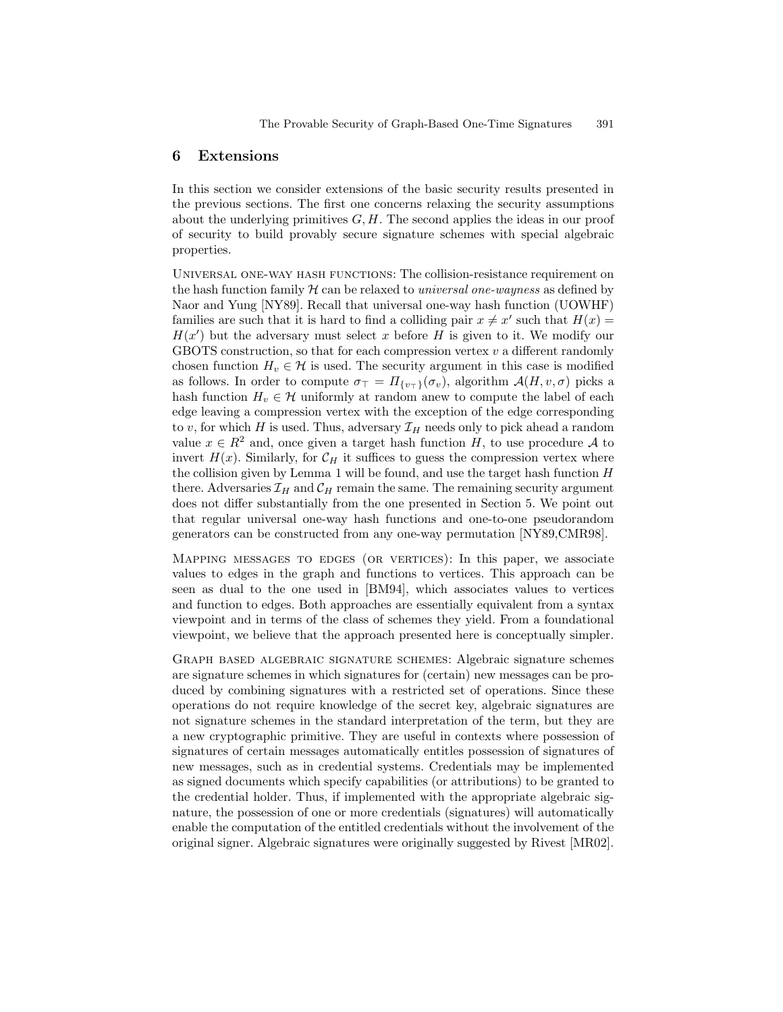## 6 Extensions

In this section we consider extensions of the basic security results presented in the previous sections. The first one concerns relaxing the security assumptions about the underlying primitives  $G, H$ . The second applies the ideas in our proof of security to build provably secure signature schemes with special algebraic properties.

Universal one-way hash functions: The collision-resistance requirement on the hash function family  $H$  can be relaxed to *universal one-wayness* as defined by Naor and Yung [NY89]. Recall that universal one-way hash function (UOWHF) families are such that it is hard to find a colliding pair  $x \neq x'$  such that  $H(x) =$  $H(x')$  but the adversary must select x before H is given to it. We modify our GBOTS construction, so that for each compression vertex  $v$  a different randomly chosen function  $H_v \in \mathcal{H}$  is used. The security argument in this case is modified as follows. In order to compute  $\sigma_{\perp} = \Pi_{\{v_{\perp}\}}(\sigma_v)$ , algorithm  $\mathcal{A}(H, v, \sigma)$  picks a hash function  $H_v \in \mathcal{H}$  uniformly at random anew to compute the label of each edge leaving a compression vertex with the exception of the edge corresponding to v, for which H is used. Thus, adversary  $\mathcal{I}_H$  needs only to pick ahead a random value  $x \in R^2$  and, once given a target hash function H, to use procedure A to invert  $H(x)$ . Similarly, for  $C_H$  it suffices to guess the compression vertex where the collision given by Lemma 1 will be found, and use the target hash function  $H$ there. Adversaries  $\mathcal{I}_H$  and  $\mathcal{C}_H$  remain the same. The remaining security argument does not differ substantially from the one presented in Section 5. We point out that regular universal one-way hash functions and one-to-one pseudorandom generators can be constructed from any one-way permutation [NY89,CMR98].

Mapping messages to edges (or vertices): In this paper, we associate values to edges in the graph and functions to vertices. This approach can be seen as dual to the one used in [BM94], which associates values to vertices and function to edges. Both approaches are essentially equivalent from a syntax viewpoint and in terms of the class of schemes they yield. From a foundational viewpoint, we believe that the approach presented here is conceptually simpler.

Graph based algebraic signature schemes: Algebraic signature schemes are signature schemes in which signatures for (certain) new messages can be produced by combining signatures with a restricted set of operations. Since these operations do not require knowledge of the secret key, algebraic signatures are not signature schemes in the standard interpretation of the term, but they are a new cryptographic primitive. They are useful in contexts where possession of signatures of certain messages automatically entitles possession of signatures of new messages, such as in credential systems. Credentials may be implemented as signed documents which specify capabilities (or attributions) to be granted to the credential holder. Thus, if implemented with the appropriate algebraic signature, the possession of one or more credentials (signatures) will automatically enable the computation of the entitled credentials without the involvement of the original signer. Algebraic signatures were originally suggested by Rivest [MR02].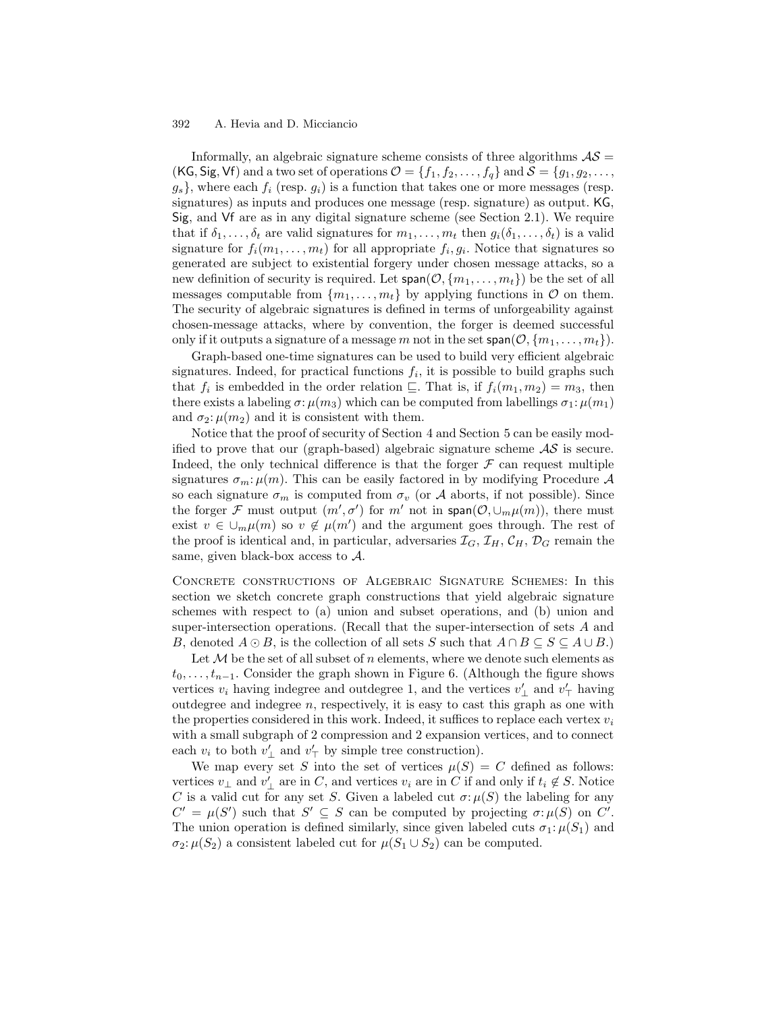Informally, an algebraic signature scheme consists of three algorithms  $\mathcal{AS}=$ (KG, Sig, Vf) and a two set of operations  $\mathcal{O} = \{f_1, f_2, \ldots, f_q\}$  and  $\mathcal{S} = \{g_1, g_2, \ldots, f_q\}$  $g_s$ , where each  $f_i$  (resp.  $g_i$ ) is a function that takes one or more messages (resp. signatures) as inputs and produces one message (resp. signature) as output. KG, Sig, and Vf are as in any digital signature scheme (see Section 2.1). We require that if  $\delta_1, \ldots, \delta_t$  are valid signatures for  $m_1, \ldots, m_t$  then  $g_i(\delta_1, \ldots, \delta_t)$  is a valid signature for  $f_i(m_1,\ldots,m_t)$  for all appropriate  $f_i, g_i$ . Notice that signatures so generated are subject to existential forgery under chosen message attacks, so a new definition of security is required. Let  $\textsf{span}(\mathcal{O}, \{m_1, \ldots, m_t\})$  be the set of all messages computable from  $\{m_1, \ldots, m_t\}$  by applying functions in  $\mathcal O$  on them. The security of algebraic signatures is defined in terms of unforgeability against chosen-message attacks, where by convention, the forger is deemed successful only if it outputs a signature of a message m not in the set  $\textsf{span}(\mathcal{O}, \{m_1, \ldots, m_t\})$ .

Graph-based one-time signatures can be used to build very efficient algebraic signatures. Indeed, for practical functions  $f_i$ , it is possible to build graphs such that  $f_i$  is embedded in the order relation  $\subseteq$ . That is, if  $f_i(m_1, m_2) = m_3$ , then there exists a labeling  $\sigma$ :  $\mu(m_3)$  which can be computed from labellings  $\sigma_1$ :  $\mu(m_1)$ and  $\sigma_2$ :  $\mu(m_2)$  and it is consistent with them.

Notice that the proof of security of Section 4 and Section 5 can be easily modified to prove that our (graph-based) algebraic signature scheme  $\mathcal{A}\mathcal{S}$  is secure. Indeed, the only technical difference is that the forger  $\mathcal F$  can request multiple signatures  $\sigma_m: \mu(m)$ . This can be easily factored in by modifying Procedure A so each signature  $\sigma_m$  is computed from  $\sigma_v$  (or A aborts, if not possible). Since the forger  $\mathcal F$  must output  $(m', \sigma')$  for  $m'$  not in span $(\mathcal O, \cup_m \mu(m))$ , there must exist  $v \in \bigcup_m \mu(m)$  so  $v \notin \mu(m')$  and the argument goes through. The rest of the proof is identical and, in particular, adversaries  $\mathcal{I}_G$ ,  $\mathcal{I}_H$ ,  $\mathcal{C}_H$ ,  $\mathcal{D}_G$  remain the same, given black-box access to A.

Concrete constructions of Algebraic Signature Schemes: In this section we sketch concrete graph constructions that yield algebraic signature schemes with respect to (a) union and subset operations, and (b) union and super-intersection operations. (Recall that the super-intersection of sets A and B, denoted  $A \odot B$ , is the collection of all sets S such that  $A \cap B \subseteq S \subseteq A \cup B$ .)

Let  $M$  be the set of all subset of n elements, where we denote such elements as  $t_0, \ldots, t_{n-1}$ . Consider the graph shown in Figure 6. (Although the figure shows vertices  $v_i$  having indegree and outdegree 1, and the vertices  $v'_\perp$  and  $v'_\perp$  having outdegree and indegree  $n$ , respectively, it is easy to cast this graph as one with the properties considered in this work. Indeed, it suffices to replace each vertex  $v_i$ with a small subgraph of 2 compression and 2 expansion vertices, and to connect each  $v_i$  to both  $v'_\perp$  and  $v'_\perp$  by simple tree construction).

We map every set S into the set of vertices  $\mu(S) = C$  defined as follows: vertices  $v_{\perp}$  and  $v'_{\perp}$  are in C, and vertices  $v_i$  are in C if and only if  $t_i \notin S$ . Notice C is a valid cut for any set S. Given a labeled cut  $\sigma$ :  $\mu(S)$  the labeling for any  $C' = \mu(S')$  such that  $S' \subseteq S$  can be computed by projecting  $\sigma: \mu(S)$  on  $C'$ . The union operation is defined similarly, since given labeled cuts  $\sigma_1: \mu(S_1)$  and  $\sigma_2$ :  $\mu(S_2)$  a consistent labeled cut for  $\mu(S_1 \cup S_2)$  can be computed.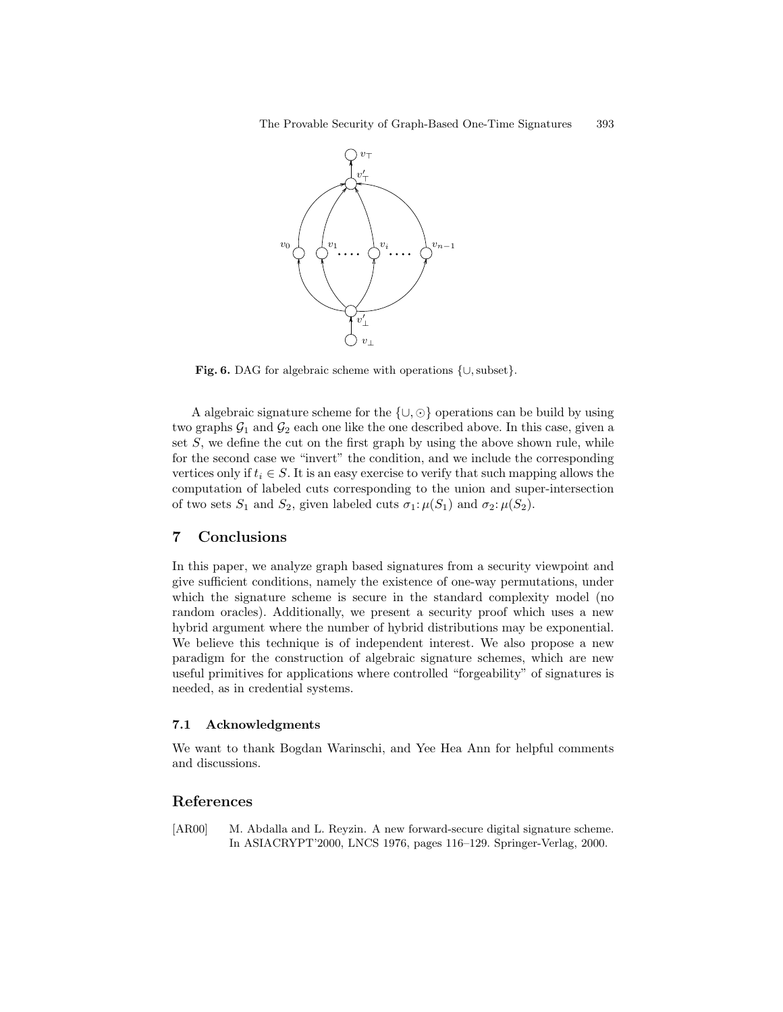

Fig. 6. DAG for algebraic scheme with operations {∪, subset}.

A algebraic signature scheme for the  $\{\cup, \odot\}$  operations can be build by using two graphs  $G_1$  and  $G_2$  each one like the one described above. In this case, given a set  $S$ , we define the cut on the first graph by using the above shown rule, while for the second case we "invert" the condition, and we include the corresponding vertices only if  $t_i \in S$ . It is an easy exercise to verify that such mapping allows the computation of labeled cuts corresponding to the union and super-intersection of two sets  $S_1$  and  $S_2$ , given labeled cuts  $\sigma_1: \mu(S_1)$  and  $\sigma_2: \mu(S_2)$ .

## 7 Conclusions

In this paper, we analyze graph based signatures from a security viewpoint and give sufficient conditions, namely the existence of one-way permutations, under which the signature scheme is secure in the standard complexity model (no random oracles). Additionally, we present a security proof which uses a new hybrid argument where the number of hybrid distributions may be exponential. We believe this technique is of independent interest. We also propose a new paradigm for the construction of algebraic signature schemes, which are new useful primitives for applications where controlled "forgeability" of signatures is needed, as in credential systems.

### 7.1 Acknowledgments

We want to thank Bogdan Warinschi, and Yee Hea Ann for helpful comments and discussions.

# References

[AR00] M. Abdalla and L. Reyzin. A new forward-secure digital signature scheme. In ASIACRYPT'2000, LNCS 1976, pages 116–129. Springer-Verlag, 2000.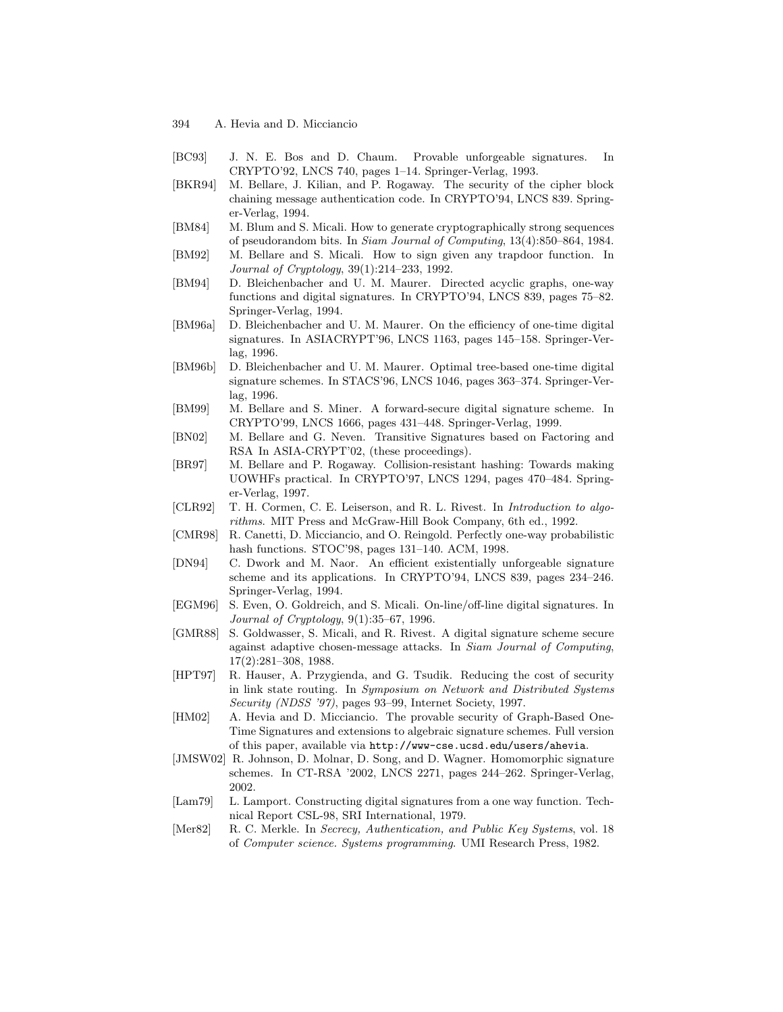- 394 A. Hevia and D. Micciancio
- [BC93] J. N. E. Bos and D. Chaum. Provable unforgeable signatures. In CRYPTO'92, LNCS 740, pages 1–14. Springer-Verlag, 1993.
- [BKR94] M. Bellare, J. Kilian, and P. Rogaway. The security of the cipher block chaining message authentication code. In CRYPTO'94, LNCS 839. Springer-Verlag, 1994.
- [BM84] M. Blum and S. Micali. How to generate cryptographically strong sequences of pseudorandom bits. In Siam Journal of Computing, 13(4):850–864, 1984.
- [BM92] M. Bellare and S. Micali. How to sign given any trapdoor function. In Journal of Cryptology, 39(1):214–233, 1992.
- [BM94] D. Bleichenbacher and U. M. Maurer. Directed acyclic graphs, one-way functions and digital signatures. In CRYPTO'94, LNCS 839, pages 75–82. Springer-Verlag, 1994.
- [BM96a] D. Bleichenbacher and U. M. Maurer. On the efficiency of one-time digital signatures. In ASIACRYPT'96, LNCS 1163, pages 145–158. Springer-Verlag, 1996.
- [BM96b] D. Bleichenbacher and U. M. Maurer. Optimal tree-based one-time digital signature schemes. In STACS'96, LNCS 1046, pages 363–374. Springer-Verlag, 1996.
- [BM99] M. Bellare and S. Miner. A forward-secure digital signature scheme. In CRYPTO'99, LNCS 1666, pages 431–448. Springer-Verlag, 1999.
- [BN02] M. Bellare and G. Neven. Transitive Signatures based on Factoring and RSA In ASIA-CRYPT'02, (these proceedings).
- [BR97] M. Bellare and P. Rogaway. Collision-resistant hashing: Towards making UOWHFs practical. In CRYPTO'97, LNCS 1294, pages 470–484. Springer-Verlag, 1997.
- [CLR92] T. H. Cormen, C. E. Leiserson, and R. L. Rivest. In Introduction to algorithms. MIT Press and McGraw-Hill Book Company, 6th ed., 1992.
- [CMR98] R. Canetti, D. Micciancio, and O. Reingold. Perfectly one-way probabilistic hash functions. STOC'98, pages 131–140. ACM, 1998.
- [DN94] C. Dwork and M. Naor. An efficient existentially unforgeable signature scheme and its applications. In CRYPTO'94, LNCS 839, pages 234–246. Springer-Verlag, 1994.
- [EGM96] S. Even, O. Goldreich, and S. Micali. On-line/off-line digital signatures. In Journal of Cryptology, 9(1):35–67, 1996.
- [GMR88] S. Goldwasser, S. Micali, and R. Rivest. A digital signature scheme secure against adaptive chosen-message attacks. In Siam Journal of Computing, 17(2):281–308, 1988.
- [HPT97] R. Hauser, A. Przygienda, and G. Tsudik. Reducing the cost of security in link state routing. In Symposium on Network and Distributed Systems Security (NDSS '97), pages 93–99, Internet Society, 1997.
- [HM02] A. Hevia and D. Micciancio. The provable security of Graph-Based One-Time Signatures and extensions to algebraic signature schemes. Full version of this paper, available via http://www-cse.ucsd.edu/users/ahevia.
- [JMSW02] R. Johnson, D. Molnar, D. Song, and D. Wagner. Homomorphic signature schemes. In CT-RSA '2002, LNCS 2271, pages 244–262. Springer-Verlag, 2002.
- [Lam79] L. Lamport. Constructing digital signatures from a one way function. Technical Report CSL-98, SRI International, 1979.
- [Mer82] R. C. Merkle. In Secrecy, Authentication, and Public Key Systems, vol. 18 of Computer science. Systems programming. UMI Research Press, 1982.